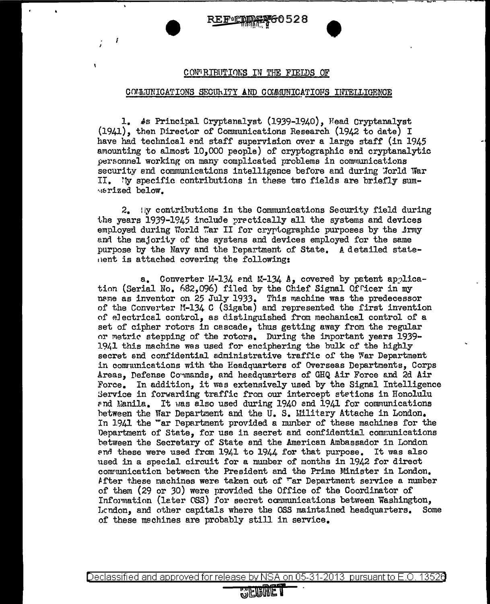60528 REFNEM

## CONTRIBUTIONS IN THE FIELDS OF

## COMMUNICATIONS SECURITY AND COMMUNICATIONS INTELLIGENCE

1. 4s Principal Cryptanalyst (1939-1940), Head Cryptanalyst (1941), then Director of Communications Research (1942 to date) I have had technical and staff supervision over a large staff (in 1945 amounting to almost 10,000 people) of cryptographic and cryptanalytic personnel working on many complicated problems in communications security and communications intelligence before and during World War II. 'ly specific contributions in these two fields are briefly sum-**Marized** below.

2. Hy contributions in the Communications Security field during the years 1939-1945 include prectically all the systems and devices employed during World War II for cryptographic purposes by the Army and the majority of the systems and devices employed for the same purpose by the Navy and the Department of State. A detailed statenent is attached covering the following:

Converter M-134 and M-134 A, covered by patent applica $a_{-}$ tion (Serial No. 682,096) filed by the Chief Signal Officer in my name as inventor on 25 July 1933. This machine was the predecessor of the Converter M-134 C (Sigaba) and represented the first invention of electrical control, as distinguished from mechanical control of a set of cipher rotors in cascade, thus getting away from the regular or metric stepping of the rotors. During the important years 1939-1941 this machine was used for enciphering the bulk of the highly secret and confidential administrative traffic of the War Department in communications with the Headquarters of Overseas Departments, Corps Areas, Defense Commands, and heedquarters of GHQ Air Force and 2d Air In addition, it was extensively used by the Signal Intelligence Force. Service in forwarding traffic from our intercept stations in Honolulu and Manila. It was also used during 1940 and 1941 for communications between the War Department and the U.S. Military Attache in London. In 1941 the "ar Pepartment provided a munber of these machines for the Department of State. for use in secret and confidential communications between the Secretary of State and the American Ambassador in London and these were used from 1941 to 1944 for that purpose. It was also used in a special circuit for a number of months in 1942 for direct communication between the President and the Prime Minister in London. After these machines were taken out of "ar Department service a number of them (29 or 30) were provided the Office of the Coordinator of Information (later OSS) for secret communications between Washington, London, and other capitals where the OSS maintained headquarters. Some of these machines are probably still in service.

Declassified and approved for release by NSA on 05-31-2013 pursuant to E.O. 13526

## **WEURET**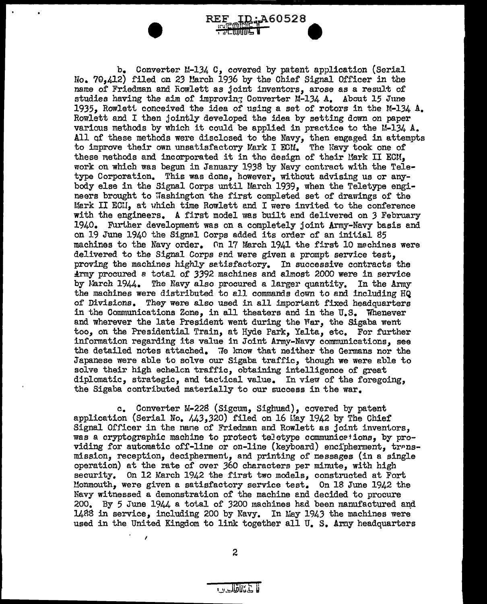• b. Converter M-134 C, covered by patent application (Serial lfo. ?0,412) filed on 23 1.!arch 1936 by the Chief Signal Officer in the name of Friedman and Rowlett as joint inventors, arose as a result of studies having the aim of improving Converter M-134  $A$ . About 15 June 1935, Rowlett conceived the idea of using a set of rotors in the M-134 A. Rowlett and I then jointly developed the idea by setting down on paper various methods by which it could be applied in practice to the  $M-134$  A. All of these methods were disclosed to the Navy, then engaged in attempts to improve their own unsatisfactory Mark I ECM. The Navy took one of these methods and incorporated it in the design of their Mark II ECM, work on which was begun in January 1938 by Navy contract with the Teletype Corporation. This was done, however, without advising us or anybody else in the Signal Corps until Uarch 1939, when the Teletype engineers brought to Washington the first completed set of drawings of the Mark II ECH, at which time Rowlett and I were invited to the conference with the engineers. A first model was built end delivered on 3 February 1940. Further development was on a completely joint Army-Navy basis and on 19 June 1940 the Signal Corps added its order of an initial 85 machines to the Navy order. On 17 March 1941 the first 10 machines were delivered to the Signal Corps end were given a prompt service test, proving the machines highly setisfactory. In successive contracts the !rmy procured a total of *3392* machines and almost 2000 were in service by March  $1944.$  The Navy also procured a larger quantity. In the Army the machines were distributed to all commands down to and including HQ of Divisions. They were also used in all important fixed headauarters in the Communications Zone, in all theaters and in the U.S. Whenever and wherever the late President went during the Mar, the Sigaba went too, on the Presidential Train, at Hyde Park, Yalta, etc. For further information regarding its value in Joint Army-Navy communications, see the detailed notes attached. When that neither the Germans nor the Japanese were able to solve our Sigaba traffic, though we were able to solve their high echelcn traffic, obtaining intelligence of great

**ID:A60528** 

REF

=10111114

diplomatic, strategic, and tactical value. In view of the foregoing, the Sigaba contributed materially to our success in the war.

c. Converter M-228 (Sigcum, Sighuad), covered by patent application (Serial No.  $443,320$ ) filed on 16 Hay 1942 by The Chief Signal Officer in the nane of Friedman and Rowlett as joint inventors, was a cryptographic machine to protect teJetype communicetions, by providing for automatic off-line or on-line (keyboard) encipherment, transmission, reception, decipherment, and printing of messages (in a single operation) at the rate of over 360 characters per minute, with high security. On 12 March 1942 the first two models, constructed at Fort Uonmouth, were given a satisfactory service test. On 18 June 1942 the Navy witnessed a demonstration of the machine end decided to procure 200. By 5 June  $1944$  a total of 3200 machines had been manufactured and  $1488$  in service, including 200 by Navy. In May 1943 the machines were used in the United Kingdom to link together all U. S. Army headquarters

2

I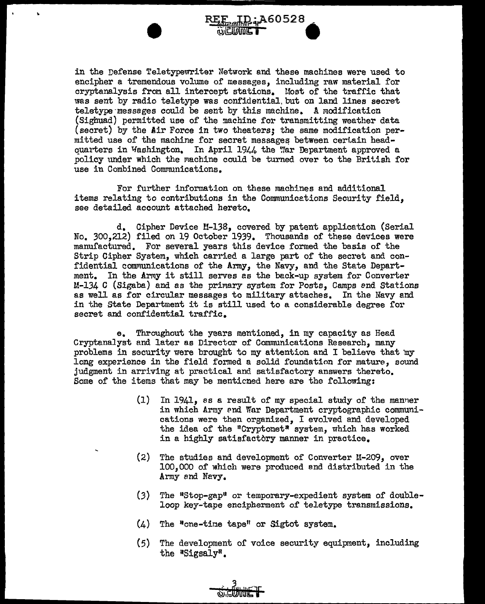in the Defense Teletypewriter Network and these machines were used to encipher a tremendous volume of messages, including raw material for cryptanalysis from all intercept stations. Most of the traffic that was sent by radio teletype was confidential, but on land lines secret teletype-messages could be sent by this machine. A modification (Sighuad) permitted use of the mchine for transmitting weather data (secret) by the Air Force in two theaters; the same modification permitted use of the machine for secret messages between ceriain headquarters in Washington. In April 1944 the War Department approved a policy under which the machine could be turned over to the British for use in Combined Communications.

:A60528

•

 $\mathbf{r}$ 

For further information on these machines and additional items relating to contributions in the Communicetions Security field, see detailed account attached hereto.

d. Cipher Device ll-138, covered by patent application (Serial No. 300,212) filed on 19 October 1939. Thousands of these devices were manufactured. For several years this device formed the basis of the Strip Cipher System, which carried a large part of the secret and confidential communications of the Army, the Navy, and the State Department. In the Army it still serves as the back-up system for Converter M-134 C (Sigaba) and as the primary system for Posts, Camps end Stations as well as for circular messages to military attaches. In the Navy and in the State Department it is still used to a considerable degree for secret and confidential traffic.

e. Throughout the years mentioned, in my capacity as Head Cryptanalyst and later as Director of Communications Research, many problems in security were brought to my attention and I believe that my long experience in the field formed a solid foundation for mature, sound judgment in arriving at practical and satisfactory answers thereto. Some of the items that may be menticned here are the following:

- (1) In 1941, as a result of my special study of the manner in which Army and War Department cryptographic communications were then organized, I evolved and developed the idea of the "Cryptonet" system, which has worked in a highly satisfactbry manner in practice.
- (2) The studies and development of Converter  $11-209$ , over 100,000 of which were produced end distributed in the Army and Navy.
- $(3)$  The "Stop-gap" or temporary-expedient system of doubleloop key-tape encipherment of teletype transmissions.
- $(4)$  The "one-time tape" or Sigtot system.
- (5) The development of voice security equipment, including the "Sigsaly".

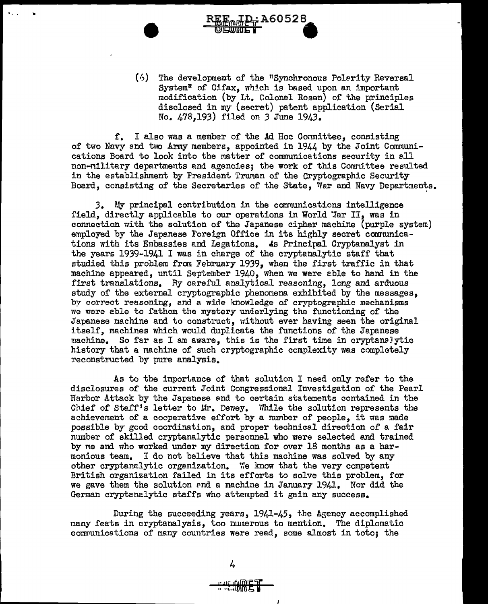$(6)$  The development of the "Synchronous Polarity Reversal  $System<sup>n</sup>$  of Cifax, which is based upon an important modification (by Lt. Colonel Rosen) of the principles disclosed in my (secret) patent application (Serial no. 473,193) filed on 3 June 1943.

**1 REPORT 100010** 

f. I also was a member of the Ad Hoc Oonmittee, consisting of two Navy and two Army members, appointed in  $1944$  by the Joint Communications Board to look into the matter of communications security in all non-Military departments and agencies; the work of this Comnittee resulted in the establishment by Fresident Truman of the Cryptographic Security Board, consisting of the Secretaries of the State, War and Navy Departments.

..

 $\mathbf{v}$ 

 $3.$  My principal contribution in the communications intelligence field, directly applicable to our operations in World "Ar II, was in connection with the solution of the Japanese cipher machine (purple system) employed by the Japanese Foreign Office in its highly secret communications with its Embassies and Legations. As Principal Cryptanalyst in the years 1939-1941 I was in charge of the cryptanalytic staff that studied this problem from February 1939, when the first traffic in that machine appeared, until September 1940, when we were eble to hand in the first translations. Ry careful analytical reasoning, long and arduous study of the external cryptographic phenonena exhibited by the messages, by correct reasoning, and a wide knowledge of cryptographic mechanisms we were able to fathom the mystery underlying the functioning of the Japanese machine and to construct, without ever having seen the original itself, machines which would duplicate the functions of the Japanese machine. So far as I am aware, this is the first time in cryptanslytic history that a machine of such cryptographic complexity was completely reconstructed by pure analysis.

As to the importance of that solution I need only refer to the disclosures of the current Joint Congressional Investigation of the Pearl Harbor Attack by the Japanese and to certain statements contained in the Chief of Staff's letter to Mr. Dewey. While the solution represents the achievement of a cooperative effort by a number of people, it was made possible by good coordination, and proper technical direction of a fair number of skilled cryptanalytic personnel who were selected and trained by me and who worked under my direction for over 18 months as a harmonious team. I do not believe that this machine was solved by any other cryptanalytic organization. We know that the very competent British organization failed in its efforts to solve this problem, for we gave them the solution Pnd a machine in January 1941. Nor did the German cryptanalytic staffs who attempted it gain any success.

During the succeeding years,  $1941-45$ , the Agency accomplished many feats in cryptanalysis, too numerous to mention. The diplomatic communications of many countries were read, some almost in toto; the

4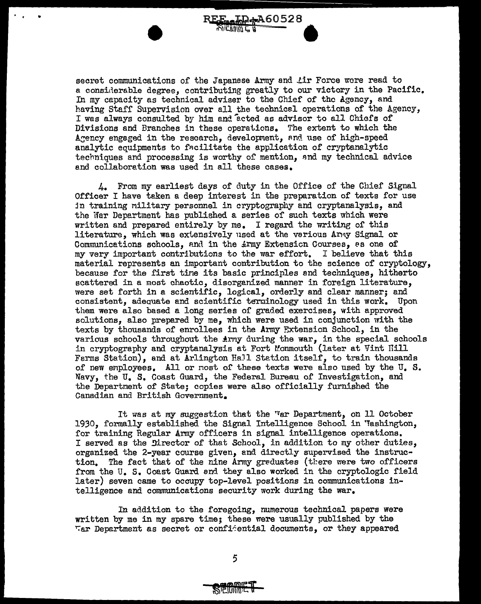secret communications of the Japanese Army and Lir Force wore read to a considerable degree, contributing greatly to our victory in the Pacific. In my capacity as technical adviser to the Chief of the Agency, and having Staff Supervision over all the technical operations or the Agency, I was always consulted by him and acted as advisor to all Chiefs of Divisions and Branches in these operations. The extent to which the Agency engaged in the research, development, and use of high-speed analytic equipments to facilitate the application of cryptanalytic techniques and processing is worthy of mention, and my technical advice and collaboration was used in all these cases.

REF. JD: A60528  $\mathcal{L}$  is a set  $\mathcal{L}$  if  $\mathcal{L}$  is used to  $\mathcal{L}$ 

•<br>•

..

 $4.$  From my earliest days of duty in the Office of the Chief Signal Officer I have taken a deep interest in the preparation of texts for use in training military personnel in cryptography and cryptanalysis, and the War Department has published a series of such texts which were written and prepared entirely by me. I regard the writing or this literature, which was extensively used at the various Anay Signal or Communications schools, and in the  $\pm r$ my Extension Courses, as one of  $m$  werv important contributions to the war effort. I believe that this my very important contributions to the war effort. material represents an important contribution to the science of cryptology, because for the first tine its basic principles and techniques, hitherto scattered in a most chaotic, disorganized manner in foreign literature, were set forth in a scientific, logical, orderly and clear manner; and consistent, adequate and scientific terminology used in this work. Upon them were also based a long series of graded exercises, with approved solutions, also prepared by me, which were used in conjunction with the texts by thousands of enrollees in the Army Extension School, in the various schools throughout the Army during the war, in the special schools in cryptography and cryptanalysis at Fort Monmouth (later at Vint Hill Farms Station), and at Arlington EaJl Stetion itself, to train thousands of new employees. All or nost of these texts were also used by the U.S. Navy, the U. S. Coast Guard, the Federal Bureau of Investigation, and the Departnent of State; copies were also officially furnished the Canadian and British Government.

It was at my suggestion that the "ar Department, on 11 October 1930, formally established the Signal Intelligence School in 'Tashington, for training Regular Army officers in signal intelligence operations. I served as the Director of that School, in addition to my other duties, organized the 2-year course given, and directly supervised the instruction. The fact that of the nine Army greduates (there were two officers from the U. S. Coast Guard and they also worked in the cryptologic field later) seven came to occupy top-level positions in communications intelligence and communications security work during the war.

In addition to the foregoing, numerous technical papers were written by me in my spare time; these were usually published by the  $~\tau$ ar Depertment as secret or confi $\epsilon$ ential documents, or they appeared